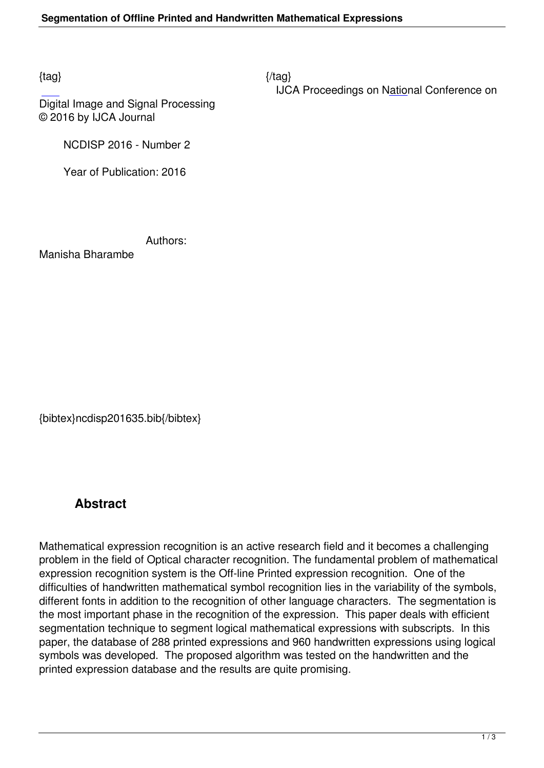$\{tag\}$ 

IJCA Proceedings on National Conference on

Digital Image and Signal Processing © 2016 by IJCA Journal

NCDISP 2016 - Number 2

Year of Publication: 2016

Authors:

Manisha Bharambe

{bibtex}ncdisp201635.bib{/bibtex}

## **Abstract**

Mathematical expression recognition is an active research field and it becomes a challenging problem in the field of Optical character recognition. The fundamental problem of mathematical expression recognition system is the Off-line Printed expression recognition. One of the difficulties of handwritten mathematical symbol recognition lies in the variability of the symbols, different fonts in addition to the recognition of other language characters. The segmentation is the most important phase in the recognition of the expression. This paper deals with efficient segmentation technique to segment logical mathematical expressions with subscripts. In this paper, the database of 288 printed expressions and 960 handwritten expressions using logical symbols was developed. The proposed algorithm was tested on the handwritten and the printed expression database and the results are quite promising.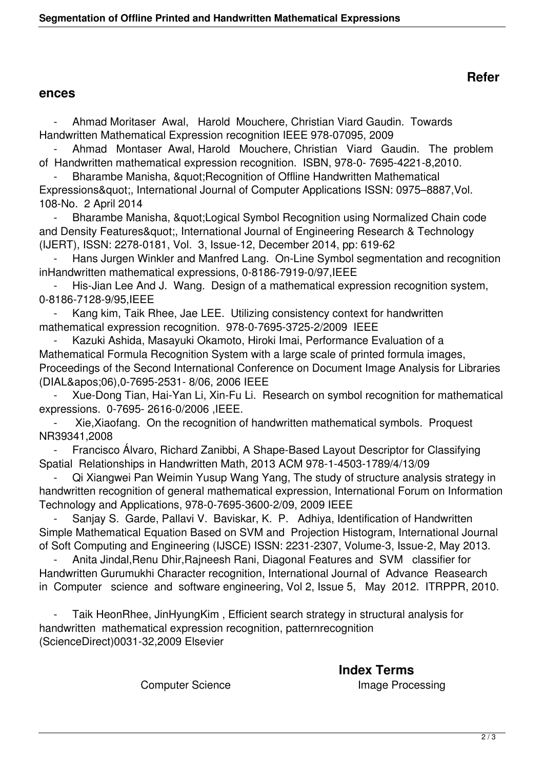## **ences**

 - Ahmad Moritaser Awal, Harold Mouchere, Christian Viard Gaudin. Towards Handwritten Mathematical Expression recognition IEEE 978-07095, 2009

Ahmad Montaser Awal, Harold Mouchere, Christian Viard Gaudin. The problem of Handwritten mathematical expression recognition. ISBN, 978-0- 7695-4221-8,2010.

Bharambe Manisha, " Recognition of Offline Handwritten Mathematical Expressions", International Journal of Computer Applications ISSN: 0975–8887, Vol. 108-No. 2 April 2014

- Bharambe Manisha, "Logical Symbol Recognition using Normalized Chain code and Density Features", International Journal of Engineering Research & Technology (IJERT), ISSN: 2278-0181, Vol. 3, Issue-12, December 2014, pp: 619-62

 - Hans Jurgen Winkler and Manfred Lang. On-Line Symbol segmentation and recognition inHandwritten mathematical expressions, 0-8186-7919-0/97, IEEE

His-Jian Lee And J. Wang. Design of a mathematical expression recognition system, 0-8186-7128-9/95,IEEE

Kang kim, Taik Rhee, Jae LEE. Utilizing consistency context for handwritten mathematical expression recognition. 978-0-7695-3725-2/2009 IEEE

 - Kazuki Ashida, Masayuki Okamoto, Hiroki Imai, Performance Evaluation of a Mathematical Formula Recognition System with a large scale of printed formula images, Proceedings of the Second International Conference on Document Image Analysis for Libraries (DIAL'06),0-7695-2531- 8/06, 2006 IEEE

 - Xue-Dong Tian, Hai-Yan Li, Xin-Fu Li. Research on symbol recognition for mathematical expressions. 0-7695- 2616-0/2006 ,IEEE.

Xie, Xiaofang. On the recognition of handwritten mathematical symbols. Proquest NR39341,2008

 - Francisco Álvaro, Richard Zanibbi, A Shape-Based Layout Descriptor for Classifying Spatial Relationships in Handwritten Math, 2013 ACM 978-1-4503-1789/4/13/09

 - Qi Xiangwei Pan Weimin Yusup Wang Yang, The study of structure analysis strategy in handwritten recognition of general mathematical expression, International Forum on Information Technology and Applications, 978-0-7695-3600-2/09, 2009 IEEE

Sanjay S. Garde, Pallavi V. Baviskar, K. P. Adhiya, Identification of Handwritten Simple Mathematical Equation Based on SVM and Projection Histogram, International Journal of Soft Computing and Engineering (IJSCE) ISSN: 2231-2307, Volume-3, Issue-2, May 2013.

Anita Jindal, Renu Dhir, Rajneesh Rani, Diagonal Features and SVM classifier for Handwritten Gurumukhi Character recognition, International Journal of Advance Reasearch in Computer science and software engineering, Vol 2, Issue 5, May 2012. ITRPPR, 2010.

Taik HeonRhee, JinHyungKim, Efficient search strategy in structural analysis for handwritten mathematical expression recognition, patternrecognition (ScienceDirect)0031-32,2009 Elsevier

 **Index Terms**  Computer Science **Image Processing**